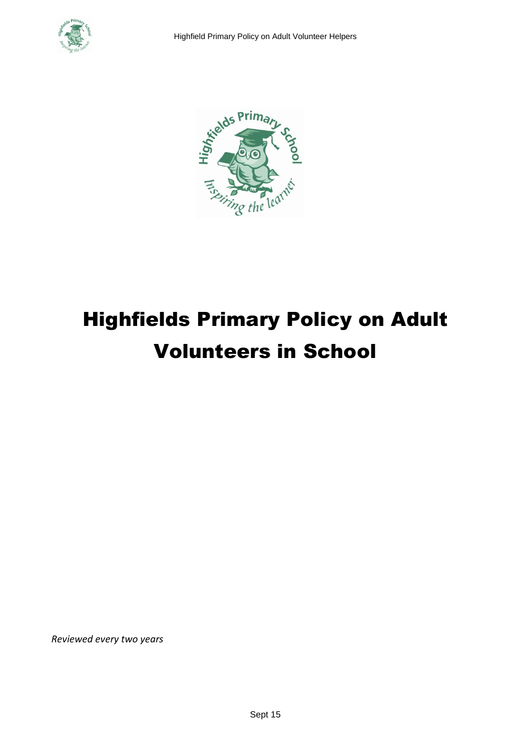



# Highfields Primary Policy on Adult Volunteers in School

*Reviewed every two years*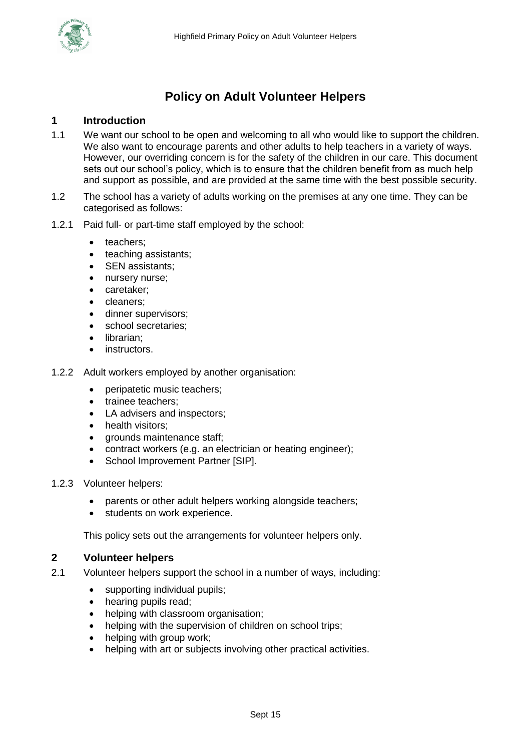

## **Policy on Adult Volunteer Helpers**

#### **1 Introduction**

- 1.1 We want our school to be open and welcoming to all who would like to support the children. We also want to encourage parents and other adults to help teachers in a variety of ways. However, our overriding concern is for the safety of the children in our care. This document sets out our school's policy, which is to ensure that the children benefit from as much help and support as possible, and are provided at the same time with the best possible security.
- 1.2 The school has a variety of adults working on the premises at any one time. They can be categorised as follows:
- 1.2.1 Paid full- or part-time staff employed by the school:
	- teachers:
	- teaching assistants;
	- SEN assistants;
	- nursery nurse;
	- caretaker;
	- cleaners;
	- dinner supervisors;
	- school secretaries;
	- librarian;
	- instructors.
- 1.2.2 Adult workers employed by another organisation:
	- peripatetic music teachers:
	- trainee teachers;
	- LA advisers and inspectors;
	- health visitors:
	- grounds maintenance staff;
	- contract workers (e.g. an electrician or heating engineer);
	- School Improvement Partner [SIP].
- 1.2.3 Volunteer helpers:
	- parents or other adult helpers working alongside teachers;
	- students on work experience.

This policy sets out the arrangements for volunteer helpers only.

#### **2 Volunteer helpers**

- 2.1 Volunteer helpers support the school in a number of ways, including:
	- supporting individual pupils;
	- hearing pupils read;
	- helping with classroom organisation;
	- helping with the supervision of children on school trips;
	- helping with group work;
	- helping with art or subjects involving other practical activities.